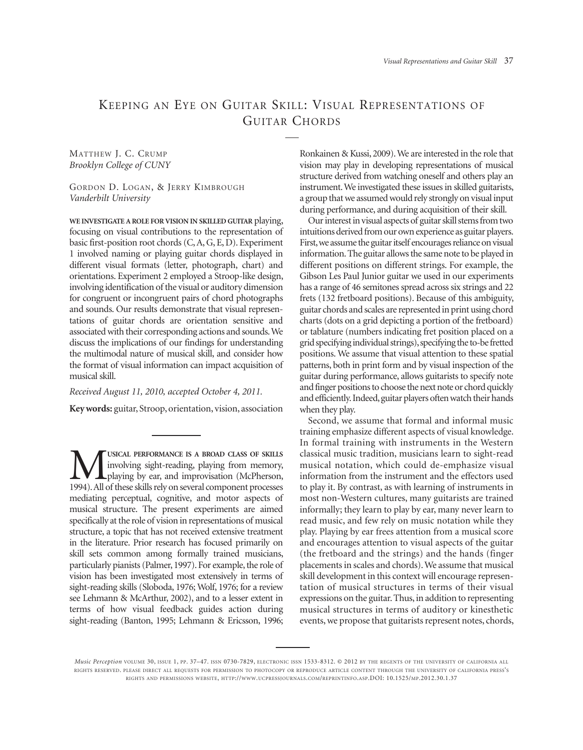# Keeping an Eye on Guitar Skill: Visual Representations of GUITAR CHORDS

MATTHEW J. C. CRUMP *Brooklyn College of CUNY*

Gordon D. Logan, & Jerry Kimbrough *Vanderbilt University*

**we investigate a role for vision in skilled guitar** playing, focusing on visual contributions to the representation of basic first-position root chords (C, A, G, E, D). Experiment 1 involved naming or playing guitar chords displayed in different visual formats (letter, photograph, chart) and orientations. Experiment 2 employed a Stroop-like design, involving identification of the visual or auditory dimension for congruent or incongruent pairs of chord photographs and sounds. Our results demonstrate that visual representations of guitar chords are orientation sensitive and associated with their corresponding actions and sounds. We discuss the implications of our findings for understanding the multimodal nature of musical skill, and consider how the format of visual information can impact acquisition of musical skill.

*Received August 11, 2010, accepted October 4, 2011.*

**Key words:** guitar, Stroop, orientation, vision, association

**M** usical PERFORMANCE IS A BROAD CLASS OF SKILLS<br>involving sight-reading, playing from memory,<br>1994) All of these skills rely on several component processes involving sight-reading, playing from memory, playing by ear, and improvisation (McPherson, 1994). All of these skills rely on several component processes mediating perceptual, cognitive, and motor aspects of musical structure. The present experiments are aimed specifically at the role of vision in representations of musical structure, a topic that has not received extensive treatment in the literature. Prior research has focused primarily on skill sets common among formally trained musicians, particularly pianists (Palmer, 1997). For example, the role of vision has been investigated most extensively in terms of sight-reading skills (Sloboda, 1976; Wolf, 1976; for a review see Lehmann & McArthur, 2002), and to a lesser extent in terms of how visual feedback guides action during sight-reading (Banton, 1995; Lehmann & Ericsson, 1996;

Ronkainen & Kussi, 2009). We are interested in the role that vision may play in developing representations of musical structure derived from watching oneself and others play an instrument. We investigated these issues in skilled guitarists, a group that we assumed would rely strongly on visual input during performance, and during acquisition of their skill.

Our interest in visual aspects of guitar skill stems from two intuitions derived from our own experience as guitar players. First, we assume the guitar itself encourages reliance on visual information. The guitar allows the same note to be played in different positions on different strings. For example, the Gibson Les Paul Junior guitar we used in our experiments has a range of 46 semitones spread across six strings and 22 frets (132 fretboard positions). Because of this ambiguity, guitar chords and scales are represented in print using chord charts (dots on a grid depicting a portion of the fretboard) or tablature (numbers indicating fret position placed on a grid specifying individual strings), specifying the to-be fretted positions. We assume that visual attention to these spatial patterns, both in print form and by visual inspection of the guitar during performance, allows guitarists to specify note and finger positions to choose the next note or chord quickly and efficiently. Indeed, guitar players often watch their hands when they play.

Second, we assume that formal and informal music training emphasize different aspects of visual knowledge. In formal training with instruments in the Western classical music tradition, musicians learn to sight-read musical notation, which could de-emphasize visual information from the instrument and the effectors used to play it. By contrast, as with learning of instruments in most non-Western cultures, many guitarists are trained informally; they learn to play by ear, many never learn to read music, and few rely on music notation while they play. Playing by ear frees attention from a musical score and encourages attention to visual aspects of the guitar (the fretboard and the strings) and the hands (finger placements in scales and chords). We assume that musical skill development in this context will encourage representation of musical structures in terms of their visual expressions on the guitar. Thus, in addition to representing musical structures in terms of auditory or kinesthetic events, we propose that guitarists represent notes, chords,

*Music Perception VOLUME* 30, ISSUE 1, PP. 37-47. ISSN 0730-7829, ELECTRONIC ISSN 1533-8312. © 2012 BY THE REGENTS OF THE UNIVERSITY OF CALIFORNIA ALL rights reserved. please direct all requests for permission to photocopy or reproduce article content through the university of california press's rights and permissions website, http://www.ucpressjournals.com/reprintinfo.asp.DOI: 10.1525/mp.2012.30.1.37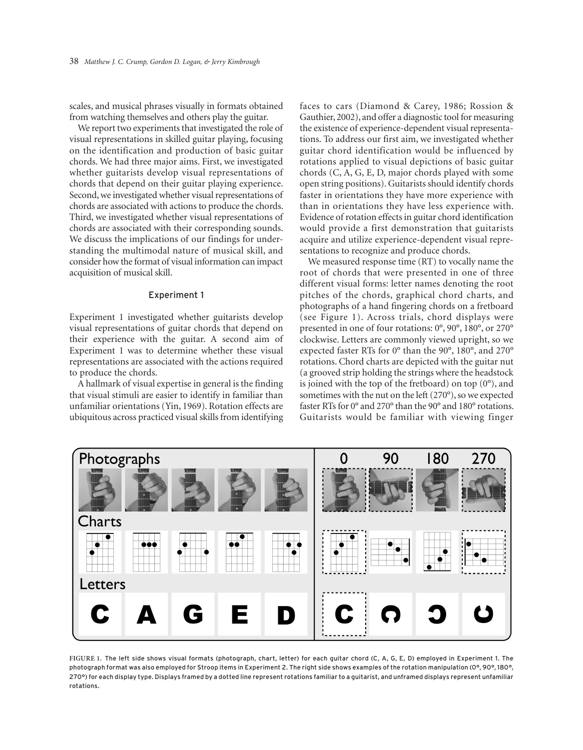scales, and musical phrases visually in formats obtained from watching themselves and others play the guitar.

We report two experiments that investigated the role of visual representations in skilled guitar playing, focusing on the identification and production of basic guitar chords. We had three major aims. First, we investigated whether guitarists develop visual representations of chords that depend on their guitar playing experience. Second, we investigated whether visual representations of chords are associated with actions to produce the chords. Third, we investigated whether visual representations of chords are associated with their corresponding sounds. We discuss the implications of our findings for understanding the multimodal nature of musical skill, and consider how the format of visual information can impact acquisition of musical skill.

### Experiment 1

Experiment 1 investigated whether guitarists develop visual representations of guitar chords that depend on their experience with the guitar. A second aim of Experiment 1 was to determine whether these visual representations are associated with the actions required to produce the chords.

A hallmark of visual expertise in general is the finding that visual stimuli are easier to identify in familiar than unfamiliar orientations (Yin, 1969). Rotation effects are ubiquitous across practiced visual skills from identifying

faces to cars (Diamond & Carey, 1986; Rossion & Gauthier, 2002), and offer a diagnostic tool for measuring the existence of experience-dependent visual representations. To address our first aim, we investigated whether guitar chord identification would be influenced by rotations applied to visual depictions of basic guitar chords (C, A, G, E, D, major chords played with some open string positions). Guitarists should identify chords faster in orientations they have more experience with than in orientations they have less experience with. Evidence of rotation effects in guitar chord identification would provide a first demonstration that guitarists acquire and utilize experience-dependent visual representations to recognize and produce chords.

We measured response time (RT) to vocally name the root of chords that were presented in one of three different visual forms: letter names denoting the root pitches of the chords, graphical chord charts, and photographs of a hand fingering chords on a fretboard (see Figure 1). Across trials, chord displays were presented in one of four rotations: 0°, 90°, 180°, or 270° clockwise. Letters are commonly viewed upright, so we expected faster RTs for 0° than the 90°, 180°, and 270° rotations. Chord charts are depicted with the guitar nut (a grooved strip holding the strings where the headstock is joined with the top of the fretboard) on top  $(0^{\circ})$ , and sometimes with the nut on the left (270°), so we expected faster RTs for 0° and 270° than the 90° and 180° rotations. Guitarists would be familiar with viewing finger



**FIGURE 1.** The left side shows visual formats (photograph, chart, letter) for each guitar chord (C, A, G, E, D) employed in Experiment 1. The photograph format was also employed for Stroop items in Experiment 2. The right side shows examples of the rotation manipulation (0°, 90°, 180°, 270°) for each display type. Displays framed by a dotted line represent rotations familiar to a guitarist, and unframed displays represent unfamiliar rotations.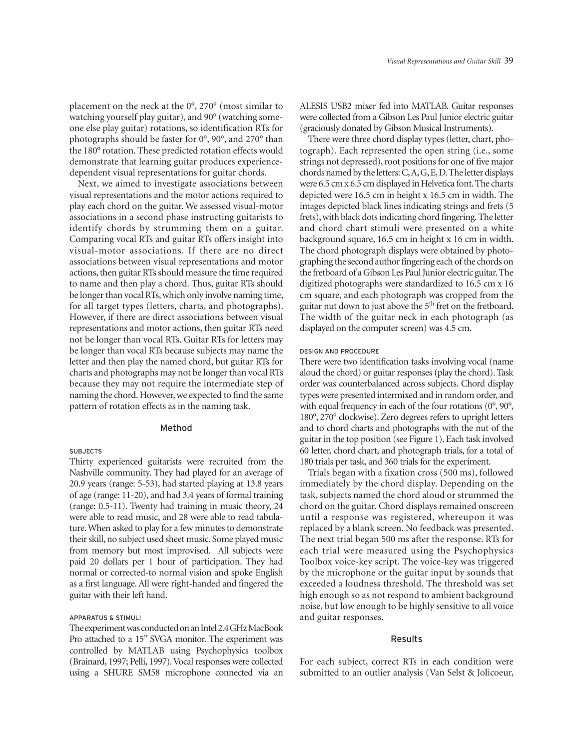placement on the neck at the 0°, 270° (most similar to watching yourself play guitar), and 90° (watching someone else play guitar) rotations, so identification RTs for photographs should be faster for 0°, 90°, and 270° than the 180° rotation. These predicted rotation effects would demonstrate that learning guitar produces experiencedependent visual representations for guitar chords.

Next, we aimed to investigate associations between visual representations and the motor actions required to play each chord on the guitar. We assessed visual-motor associations in a second phase instructing guitarists to identify chords by strumming them on a guitar. Comparing vocal RTs and guitar RTs offers insight into visual-motor associations. If there are no direct associations between visual representations and motor actions, then guitar RTs should measure the time required to name and then play a chord. Thus, guitar RTs should be longer than vocal RTs, which only involve naming time, for all target types (letters, charts, and photographs). However, if there are direct associations between visual representations and motor actions, then guitar RTs need not be longer than vocal RTs. Guitar RTs for letters may be longer than vocal RTs because subjects may name the letter and then play the named chord, but guitar RTs for charts and photographs may not be longer than vocal RTs because they may not require the intermediate step of naming the chord. However, we expected to find the same pattern of rotation effects as in the naming task.

#### Method

## **SUBJECTS**

Thirty experienced guitarists were recruited from the Nashville community. They had played for an average of 20.9 years (range: 5-53), had started playing at 13.8 years of age (range: 11-20), and had 3.4 years of formal training (range: 0.5-11). Twenty had training in music theory, 24 were able to read music, and 28 were able to read tabulature. When asked to play for a few minutes to demonstrate their skill, no subject used sheet music. Some played music from memory but most improvised. All subjects were paid 20 dollars per 1 hour of participation. They had normal or corrected-to normal vision and spoke English as a first language. All were right-handed and fingered the guitar with their left hand.

## Apparatus & Stimuli

The experiment was conducted on an Intel 2.4 GHz MacBook Pro attached to a 15" SVGA monitor. The experiment was controlled by MATLAB using Psychophysics toolbox (Brainard, 1997; Pelli, 1997). Vocal responses were collected using a SHURE SM58 microphone connected via an

ALESIS USB2 mixer fed into MATLAB. Guitar responses were collected from a Gibson Les Paul Junior electric guitar (graciously donated by Gibson Musical Instruments).

There were three chord display types (letter, chart, photograph). Each represented the open string (i.e., some strings not depressed), root positions for one of five major chords named by the letters: C, A, G, E, D. The letter displays were 6.5 cm x 6.5 cm displayed in Helvetica font. The charts depicted were 16.5 cm in height x 16.5 cm in width. The images depicted black lines indicating strings and frets (5 frets), with black dots indicating chord fingering. The letter and chord chart stimuli were presented on a white background square, 16.5 cm in height x 16 cm in width. The chord photograph displays were obtained by photographing the second author fingering each of the chords on the fretboard of a Gibson Les Paul Junior electric guitar. The digitized photographs were standardized to 16.5 cm x 16 cm square, and each photograph was cropped from the guitar nut down to just above the 5<sup>th</sup> fret on the fretboard. The width of the guitar neck in each photograph (as displayed on the computer screen) was 4.5 cm.

#### Design and Procedure

There were two identification tasks involving vocal (name aloud the chord) or guitar responses (play the chord). Task order was counterbalanced across subjects. Chord display types were presented intermixed and in random order, and with equal frequency in each of the four rotations (0°, 90°, 180°, 270° clockwise). Zero degrees refers to upright letters and to chord charts and photographs with the nut of the guitar in the top position (see Figure 1). Each task involved 60 letter, chord chart, and photograph trials, for a total of 180 trials per task, and 360 trials for the experiment.

Trials began with a fixation cross (500 ms), followed immediately by the chord display. Depending on the task, subjects named the chord aloud or strummed the chord on the guitar. Chord displays remained onscreen until a response was registered, whereupon it was replaced by a blank screen. No feedback was presented. The next trial began 500 ms after the response. RTs for each trial were measured using the Psychophysics Toolbox voice-key script. The voice-key was triggered by the microphone or the guitar input by sounds that exceeded a loudness threshold. The threshold was set high enough so as not respond to ambient background noise, but low enough to be highly sensitive to all voice and guitar responses.

### Results

For each subject, correct RTs in each condition were submitted to an outlier analysis (Van Selst & Jolicoeur,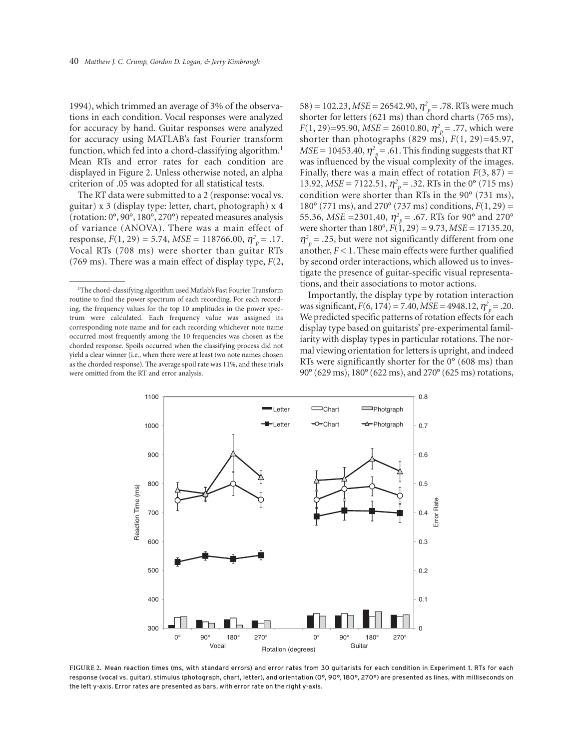1994), which trimmed an average of 3% of the observations in each condition. Vocal responses were analyzed for accuracy by hand. Guitar responses were analyzed for accuracy using MATLAB's fast Fourier transform function, which fed into a chord-classifying algorithm.<sup>1</sup> Mean RTs and error rates for each condition are displayed in Figure 2. Unless otherwise noted, an alpha criterion of .05 was adopted for all statistical tests.

The RT data were submitted to a 2 (response: vocal vs. guitar) x 3 (display type: letter, chart, photograph) x 4 (rotation: 0°, 90°, 180°, 270°) repeated measures analysis of variance (ANOVA). There was a main effect of response,  $F(1, 29) = 5.74$ ,  $MSE = 118766.00$ ,  $\eta^2_{p} = .17$ . Vocal RTs (708 ms) were shorter than guitar RTs (769 ms). There was a main effect of display type, *F*(2,

58) = 102.23, *MSE* = 26542.90,  $\eta^2 = 78$ . RTs were much shorter for letters (621 ms) than chord charts (765 ms), *F*(1, 29)=95.90, *MSE* = 26010.80,  $\eta^2$ <sub>*p*</sub> = .77, which were shorter than photographs (829 ms), *F*(1, 29)=45.97,  $MSE = 10453.40, \eta^2 = .61$ . This finding suggests that RT was influenced by the visual complexity of the images. Finally, there was a main effect of rotation  $F(3, 87) =$ 13.92, *MSE* = 7122.51,  $\eta^2$ <sub>*p*</sub> = .32. RTs in the 0° (715 ms) condition were shorter than RTs in the 90° (731 ms), 180° (771 ms), and 270° (737 ms) conditions, *F*(1, 29) = 55.36, *MSE* = 2301.40,  $\eta^2_{p}$  = .67. RTs for 90° and 270° were shorter than  $180^{\circ}$ ,  $F(1, 29) = 9.73$ ,  $MSE = 17135.20$ ,  $\eta^2$ <sup>*p*</sup> = .25, but were not significantly different from one another,  $F < 1$ . These main effects were further qualified by second order interactions, which allowed us to investigate the presence of guitar-specific visual representations, and their associations to motor actions.

Importantly, the display type by rotation interaction was significant,  $F(6, 174) = 7.40$ ,  $MSE = 4948.12$ ,  $\eta^2_{p} = .20$ . We predicted specific patterns of rotation effects for each display type based on guitarists' pre-experimental familiarity with display types in particular rotations. The normal viewing orientation for letters is upright, and indeed RTs were significantly shorter for the 0° (608 ms) than 90° (629 ms), 180° (622 ms), and 270° (625 ms) rotations,



**FIGURE 2.** Mean reaction times (ms, with standard errors) and error rates from 30 guitarists for each condition in Experiment 1. RTs for each response (vocal vs. guitar), stimulus (photograph, chart, letter), and orientation (0°, 90°, 180°, 270°) are presented as lines, with milliseconds on the left y-axis. Error rates are presented as bars, with error rate on the right y-axis.

<sup>1</sup> The chord-classifying algorithm used Matlab's Fast Fourier Transform routine to find the power spectrum of each recording. For each recording, the frequency values for the top 10 amplitudes in the power spectrum were calculated. Each frequency value was assigned its corresponding note name and for each recording whichever note name occurred most frequently among the 10 frequencies was chosen as the chorded response. Spoils occurred when the classifying process did not yield a clear winner (i.e., when there were at least two note names chosen as the chorded response). The average spoil rate was 11%, and these trials were omitted from the RT and error analysis.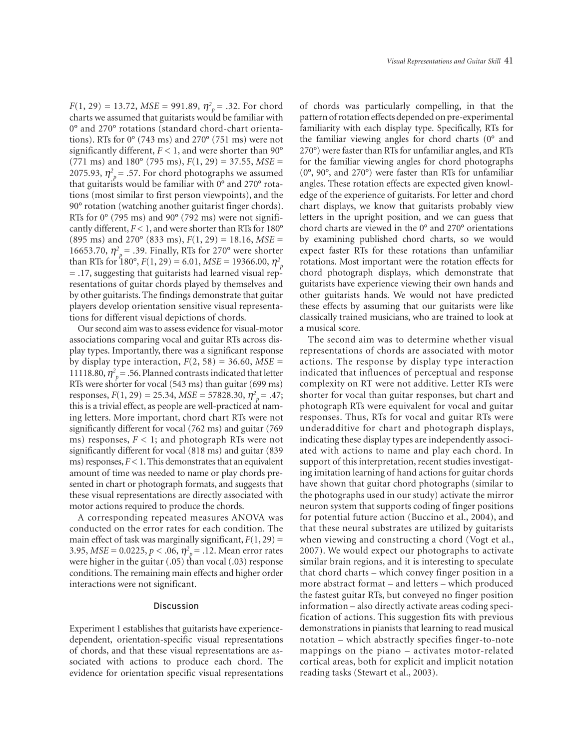$F(1, 29) = 13.72$ , *MSE* = 991.89,  $\eta^2 = 0.32$ . For chord charts we assumed that guitarists would be familiar with 0° and 270° rotations (standard chord-chart orientations). RTs for  $0^{\circ}$  (743 ms) and 270 $^{\circ}$  (751 ms) were not significantly different,  $F < 1$ , and were shorter than 90 $^{\circ}$  $(771 \text{ ms})$  and  $180^{\circ}$  (795 ms),  $F(1, 29) = 37.55$ ,  $MSE =$ 2075.93,  $\eta^2 = .57$ . For chord photographs we assumed that guitarists would be familiar with 0° and 270° rotations (most similar to first person viewpoints), and the 90° rotation (watching another guitarist finger chords). RTs for 0° (795 ms) and 90° (792 ms) were not significantly different, *F* < 1, and were shorter than RTs for 180°  $(895 \text{ ms})$  and  $270^{\circ}$  (833 ms),  $F(1, 29) = 18.16$ ,  $MSE =$ 16653.70,  $\eta^2$ <sub>p</sub> = .39. Finally, RTs for 270° were shorter than RTs for  $180^\circ$ ,  $F(1, 29) = 6.01$ ,  $MSE = 19366.00$ ,  $\eta_p^2$ = .17, suggesting that guitarists had learned visual representations of guitar chords played by themselves and by other guitarists. The findings demonstrate that guitar players develop orientation sensitive visual representations for different visual depictions of chords.

Our second aim was to assess evidence for visual-motor associations comparing vocal and guitar RTs across display types. Importantly, there was a significant response by display type interaction,  $F(2, 58) = 36.60$ ,  $MSE =$ 11118.80,  $\eta^2 = .56$ . Planned contrasts indicated that letter RTs were shorter for vocal (543 ms) than guitar (699 ms) responses,  $F(1, 29) = 25.34$ ,  $MSE = 57828.30$ ,  $\eta^2_p = .47$ ; this is a trivial effect, as people are well-practiced at naming letters. More important, chord chart RTs were not significantly different for vocal (762 ms) and guitar (769 ms) responses,  $F < 1$ ; and photograph RTs were not significantly different for vocal (818 ms) and guitar (839 ms) responses,  $F < 1$ . This demonstrates that an equivalent amount of time was needed to name or play chords presented in chart or photograph formats, and suggests that these visual representations are directly associated with motor actions required to produce the chords.

A corresponding repeated measures ANOVA was conducted on the error rates for each condition. The main effect of task was marginally significant,  $F(1, 29) =$ 3.95,  $MSE = 0.0225$ ,  $p < .06$ ,  $\eta^2_{p} = .12$ . Mean error rates were higher in the guitar (.05) than vocal (.03) response conditions. The remaining main effects and higher order interactions were not significant.

## Discussion

Experiment 1 establishes that guitarists have experiencedependent, orientation-specific visual representations of chords, and that these visual representations are associated with actions to produce each chord. The evidence for orientation specific visual representations of chords was particularly compelling, in that the pattern of rotation effects depended on pre-experimental familiarity with each display type. Specifically, RTs for the familiar viewing angles for chord charts (0° and 270°) were faster than RTs for unfamiliar angles, and RTs for the familiar viewing angles for chord photographs (0°, 90°, and 270°) were faster than RTs for unfamiliar angles. These rotation effects are expected given knowledge of the experience of guitarists. For letter and chord chart displays, we know that guitarists probably view letters in the upright position, and we can guess that chord charts are viewed in the 0° and 270° orientations by examining published chord charts, so we would expect faster RTs for these rotations than unfamiliar rotations. Most important were the rotation effects for chord photograph displays, which demonstrate that guitarists have experience viewing their own hands and other guitarists hands. We would not have predicted these effects by assuming that our guitarists were like classically trained musicians, who are trained to look at a musical score.

The second aim was to determine whether visual representations of chords are associated with motor actions. The response by display type interaction indicated that influences of perceptual and response complexity on RT were not additive. Letter RTs were shorter for vocal than guitar responses, but chart and photograph RTs were equivalent for vocal and guitar responses. Thus, RTs for vocal and guitar RTs were underadditive for chart and photograph displays, indicating these display types are independently associated with actions to name and play each chord. In support of this interpretation, recent studies investigating imitation learning of hand actions for guitar chords have shown that guitar chord photographs (similar to the photographs used in our study) activate the mirror neuron system that supports coding of finger positions for potential future action (Buccino et al., 2004), and that these neural substrates are utilized by guitarists when viewing and constructing a chord (Vogt et al., 2007). We would expect our photographs to activate similar brain regions, and it is interesting to speculate that chord charts – which convey finger position in a more abstract format – and letters – which produced the fastest guitar RTs, but conveyed no finger position information – also directly activate areas coding specification of actions. This suggestion fits with previous demonstrations in pianists that learning to read musical notation – which abstractly specifies finger-to-note mappings on the piano – activates motor-related cortical areas, both for explicit and implicit notation reading tasks (Stewart et al., 2003).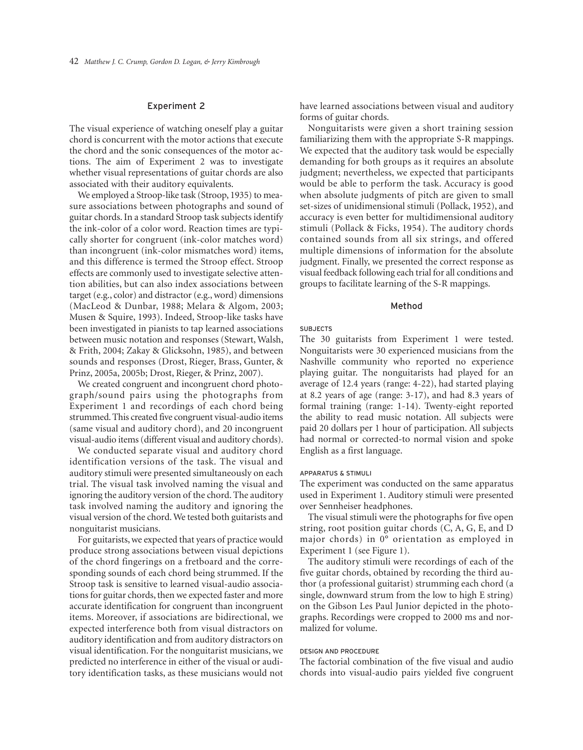# Experiment 2

The visual experience of watching oneself play a guitar chord is concurrent with the motor actions that execute the chord and the sonic consequences of the motor actions. The aim of Experiment 2 was to investigate whether visual representations of guitar chords are also associated with their auditory equivalents.

We employed a Stroop-like task (Stroop, 1935) to measure associations between photographs and sound of guitar chords. In a standard Stroop task subjects identify the ink-color of a color word. Reaction times are typically shorter for congruent (ink-color matches word) than incongruent (ink-color mismatches word) items, and this difference is termed the Stroop effect. Stroop effects are commonly used to investigate selective attention abilities, but can also index associations between target (e.g., color) and distractor (e.g., word) dimensions (MacLeod & Dunbar, 1988; Melara & Algom, 2003; Musen & Squire, 1993). Indeed, Stroop-like tasks have been investigated in pianists to tap learned associations between music notation and responses (Stewart, Walsh, & Frith, 2004; Zakay & Glicksohn, 1985), and between sounds and responses (Drost, Rieger, Brass, Gunter, & Prinz, 2005a, 2005b; Drost, Rieger, & Prinz, 2007).

We created congruent and incongruent chord photograph/sound pairs using the photographs from Experiment 1 and recordings of each chord being strummed. This created five congruent visual-audio items (same visual and auditory chord), and 20 incongruent visual-audio items (different visual and auditory chords).

We conducted separate visual and auditory chord identification versions of the task. The visual and auditory stimuli were presented simultaneously on each trial. The visual task involved naming the visual and ignoring the auditory version of the chord. The auditory task involved naming the auditory and ignoring the visual version of the chord. We tested both guitarists and nonguitarist musicians.

For guitarists, we expected that years of practice would produce strong associations between visual depictions of the chord fingerings on a fretboard and the corresponding sounds of each chord being strummed. If the Stroop task is sensitive to learned visual-audio associations for guitar chords, then we expected faster and more accurate identification for congruent than incongruent items. Moreover, if associations are bidirectional, we expected interference both from visual distractors on auditory identification and from auditory distractors on visual identification. For the nonguitarist musicians, we predicted no interference in either of the visual or auditory identification tasks, as these musicians would not

have learned associations between visual and auditory forms of guitar chords.

Nonguitarists were given a short training session familiarizing them with the appropriate S-R mappings. We expected that the auditory task would be especially demanding for both groups as it requires an absolute judgment; nevertheless, we expected that participants would be able to perform the task. Accuracy is good when absolute judgments of pitch are given to small set-sizes of unidimensional stimuli (Pollack, 1952), and accuracy is even better for multidimensional auditory stimuli (Pollack & Ficks, 1954). The auditory chords contained sounds from all six strings, and offered multiple dimensions of information for the absolute judgment. Finally, we presented the correct response as visual feedback following each trial for all conditions and groups to facilitate learning of the S-R mappings.

## Method

#### SUBJECTS

The 30 guitarists from Experiment 1 were tested. Nonguitarists were 30 experienced musicians from the Nashville community who reported no experience playing guitar. The nonguitarists had played for an average of 12.4 years (range: 4-22), had started playing at 8.2 years of age (range: 3-17), and had 8.3 years of formal training (range: 1-14). Twenty-eight reported the ability to read music notation. All subjects were paid 20 dollars per 1 hour of participation. All subjects had normal or corrected-to normal vision and spoke English as a first language.

#### Apparatus & Stimuli

The experiment was conducted on the same apparatus used in Experiment 1. Auditory stimuli were presented over Sennheiser headphones.

The visual stimuli were the photographs for five open string, root position guitar chords (C, A, G, E, and D major chords) in 0° orientation as employed in Experiment 1 (see Figure 1).

The auditory stimuli were recordings of each of the five guitar chords, obtained by recording the third author (a professional guitarist) strumming each chord (a single, downward strum from the low to high E string) on the Gibson Les Paul Junior depicted in the photographs. Recordings were cropped to 2000 ms and normalized for volume.

## Design and Procedure

The factorial combination of the five visual and audio chords into visual-audio pairs yielded five congruent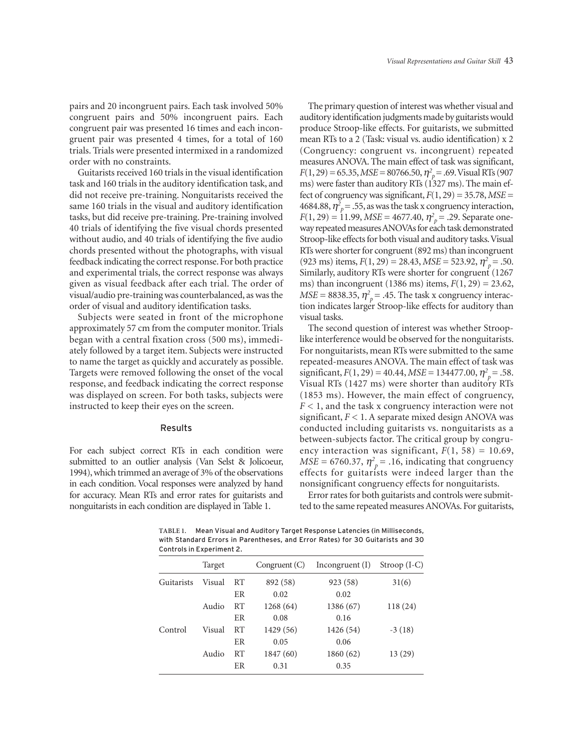pairs and 20 incongruent pairs. Each task involved 50% congruent pairs and 50% incongruent pairs. Each congruent pair was presented 16 times and each incongruent pair was presented 4 times, for a total of 160 trials. Trials were presented intermixed in a randomized order with no constraints.

Guitarists received 160 trials in the visual identification task and 160 trials in the auditory identification task, and did not receive pre-training. Nonguitarists received the same 160 trials in the visual and auditory identification tasks, but did receive pre-training. Pre-training involved 40 trials of identifying the five visual chords presented without audio, and 40 trials of identifying the five audio chords presented without the photographs, with visual feedback indicating the correct response. For both practice and experimental trials, the correct response was always given as visual feedback after each trial. The order of visual/audio pre-training was counterbalanced, as was the order of visual and auditory identification tasks.

Subjects were seated in front of the microphone approximately 57 cm from the computer monitor. Trials began with a central fixation cross (500 ms), immediately followed by a target item. Subjects were instructed to name the target as quickly and accurately as possible. Targets were removed following the onset of the vocal response, and feedback indicating the correct response was displayed on screen. For both tasks, subjects were instructed to keep their eyes on the screen.

#### Results

For each subject correct RTs in each condition were submitted to an outlier analysis (Van Selst & Jolicoeur, 1994), which trimmed an average of 3% of the observations in each condition. Vocal responses were analyzed by hand for accuracy. Mean RTs and error rates for guitarists and nonguitarists in each condition are displayed in Table 1.

The primary question of interest was whether visual and auditory identification judgments made by guitarists would produce Stroop-like effects. For guitarists, we submitted mean RTs to a 2 (Task: visual vs. audio identification) x 2 (Congruency: congruent vs. incongruent) repeated measures ANOVA. The main effect of task was significant,  $F(1, 29) = 65.35, MSE = 80766.50, \eta^2_p = .69$ . Visual RTs (907) ms) were faster than auditory RTs (1327 ms). The main effect of congruency was significant,  $F(1, 29) = 35.78$ ,  $MSE =$ 4684.88,  $\eta^2_{\ p}$  = .55, as was the task x congruency interaction,  $F(1, 29) = 11.99, MSE = 4677.40, \eta^2_p = .29.$  Separate oneway repeated measures ANOVAs for each task demonstrated Stroop-like effects for both visual and auditory tasks. Visual RTs were shorter for congruent (892 ms) than incongruent (923 ms) items,  $F(1, 29) = 28.43$ ,  $MSE = 523.92$ ,  $\eta^2 = .50$ . Similarly, auditory RTs were shorter for congruent (1267 ms) than incongruent (1386 ms) items, *F*(1, 29) = 23.62,  $MSE = 8838.35$ ,  $\eta^2$ <sub>p</sub> = .45. The task x congruency interaction indicates larger Stroop-like effects for auditory than visual tasks.

The second question of interest was whether Strooplike interference would be observed for the nonguitarists. For nonguitarists, mean RTs were submitted to the same repeated-measures ANOVA. The main effect of task was significant,  $F(1, 29) = 40.44$ ,  $MSE = 134477.00$ ,  $\eta^2_{\rho} = .58$ . Visual RTs (1427 ms) were shorter than auditory RTs (1853 ms). However, the main effect of congruency, *F* < 1, and the task x congruency interaction were not significant, *F* < 1. A separate mixed design ANOVA was conducted including guitarists vs. nonguitarists as a between-subjects factor. The critical group by congruency interaction was significant,  $F(1, 58) = 10.69$ ,  $MSE = 6760.37$ ,  $\eta^2$ <sub>*p*</sub> = .16, indicating that congruency effects for guitarists were indeed larger than the nonsignificant congruency effects for nonguitarists.

Error rates for both guitarists and controls were submitted to the same repeated measures ANOVAs. For guitarists,

**Table 1.** Mean Visual and Auditory Target Response Latencies (in Milliseconds, with Standard Errors in Parentheses, and Error Rates) for 30 Guitarists and 30 Controls in Experiment 2

|            | Target |           | Congruent (C) | Incongruent (I) | $Strong (I-C)$ |
|------------|--------|-----------|---------------|-----------------|----------------|
| Guitarists | Visual | RT        | 892 (58)      | 923 (58)        | 31(6)          |
|            |        | ER        | 0.02          | 0.02            |                |
|            | Audio  | <b>RT</b> | 1268(64)      | 1386 (67)       | 118 (24)       |
|            |        | ER        | 0.08          | 0.16            |                |
| Control    | Visual | <b>RT</b> | 1429 (56)     | 1426 (54)       | $-3(18)$       |
|            |        | ER        | 0.05          | 0.06            |                |
|            | Audio  | RT        | 1847 (60)     | 1860 (62)       | 13 (29)        |
|            |        | ER        | 0.31          | 0.35            |                |
|            |        |           |               |                 |                |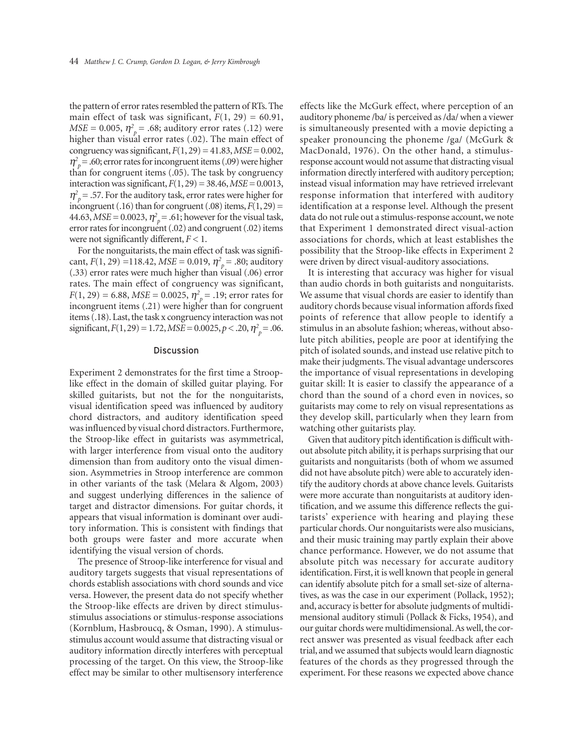the pattern of error rates resembled the pattern of RTs. The main effect of task was significant,  $F(1, 29) = 60.91$ ,  $MSE = 0.005$ ,  $\eta^2_{\rho} = .68$ ; auditory error rates (.12) were higher than visual error rates (.02). The main effect of congruency was significant,  $F(1, 29) = 41.83$ ,  $MSE = 0.002$ ,  $\eta^2$ <sub>*p*</sub> = .60; error rates for incongruent items (.09) were higher than for congruent items (.05). The task by congruency interaction was significant,  $F(1, 29) = 38.46$ ,  $MSE = 0.0013$ ,  $\eta^2$ <sub>*p*</sub> = .57. For the auditory task, error rates were higher for incongruent (.16) than for congruent (.08) items,  $F(1, 29) =$ 44.63, *MSE* = 0.0023,  $\eta^2$  = .61; however for the visual task, error rates for incongruent (.02) and congruent (.02) items were not significantly different, *F* < 1.

For the nonguitarists, the main effect of task was significant,  $F(1, 29) = 118.42$ ,  $MSE = 0.019$ ,  $\eta^2_{p} = .80$ ; auditory (.33) error rates were much higher than visual (.06) error rates. The main effect of congruency was significant,  $F(1, 29) = 6.88$ , *MSE* = 0.0025,  $\eta^2$ <sub>*p*</sub> = .19; error rates for incongruent items (.21) were higher than for congruent items (.18). Last, the task x congruency interaction was not  ${\rm significant}$ ,  $F(1, 29) = 1.72$ ,  $MSE = 0.0025$ ,  $p < .20$ ,  $\eta^2$ <sub>p</sub> = .06.

## Discussion

Experiment 2 demonstrates for the first time a Strooplike effect in the domain of skilled guitar playing. For skilled guitarists, but not the for the nonguitarists, visual identification speed was influenced by auditory chord distractors, and auditory identification speed was influenced by visual chord distractors. Furthermore, the Stroop-like effect in guitarists was asymmetrical, with larger interference from visual onto the auditory dimension than from auditory onto the visual dimension. Asymmetries in Stroop interference are common in other variants of the task (Melara & Algom, 2003) and suggest underlying differences in the salience of target and distractor dimensions. For guitar chords, it appears that visual information is dominant over auditory information. This is consistent with findings that both groups were faster and more accurate when identifying the visual version of chords.

The presence of Stroop-like interference for visual and auditory targets suggests that visual representations of chords establish associations with chord sounds and vice versa. However, the present data do not specify whether the Stroop-like effects are driven by direct stimulusstimulus associations or stimulus-response associations (Kornblum, Hasbroucq, & Osman, 1990). A stimulusstimulus account would assume that distracting visual or auditory information directly interferes with perceptual processing of the target. On this view, the Stroop-like effect may be similar to other multisensory interference effects like the McGurk effect, where perception of an auditory phoneme /ba/ is perceived as /da/ when a viewer is simultaneously presented with a movie depicting a speaker pronouncing the phoneme /ga/ (McGurk & MacDonald, 1976). On the other hand, a stimulusresponse account would not assume that distracting visual information directly interfered with auditory perception; instead visual information may have retrieved irrelevant response information that interfered with auditory identification at a response level. Although the present data do not rule out a stimulus-response account, we note that Experiment 1 demonstrated direct visual-action associations for chords, which at least establishes the possibility that the Stroop-like effects in Experiment 2 were driven by direct visual-auditory associations.

It is interesting that accuracy was higher for visual than audio chords in both guitarists and nonguitarists. We assume that visual chords are easier to identify than auditory chords because visual information affords fixed points of reference that allow people to identify a stimulus in an absolute fashion; whereas, without absolute pitch abilities, people are poor at identifying the pitch of isolated sounds, and instead use relative pitch to make their judgments. The visual advantage underscores the importance of visual representations in developing guitar skill: It is easier to classify the appearance of a chord than the sound of a chord even in novices, so guitarists may come to rely on visual representations as they develop skill, particularly when they learn from watching other guitarists play.

Given that auditory pitch identification is difficult without absolute pitch ability, it is perhaps surprising that our guitarists and nonguitarists (both of whom we assumed did not have absolute pitch) were able to accurately identify the auditory chords at above chance levels. Guitarists were more accurate than nonguitarists at auditory identification, and we assume this difference reflects the guitarists' experience with hearing and playing these particular chords. Our nonguitarists were also musicians, and their music training may partly explain their above chance performance. However, we do not assume that absolute pitch was necessary for accurate auditory identification. First, it is well known that people in general can identify absolute pitch for a small set-size of alternatives, as was the case in our experiment (Pollack, 1952); and, accuracy is better for absolute judgments of multidimensional auditory stimuli (Pollack & Ficks, 1954), and our guitar chords were multidimensional. As well, the correct answer was presented as visual feedback after each trial, and we assumed that subjects would learn diagnostic features of the chords as they progressed through the experiment. For these reasons we expected above chance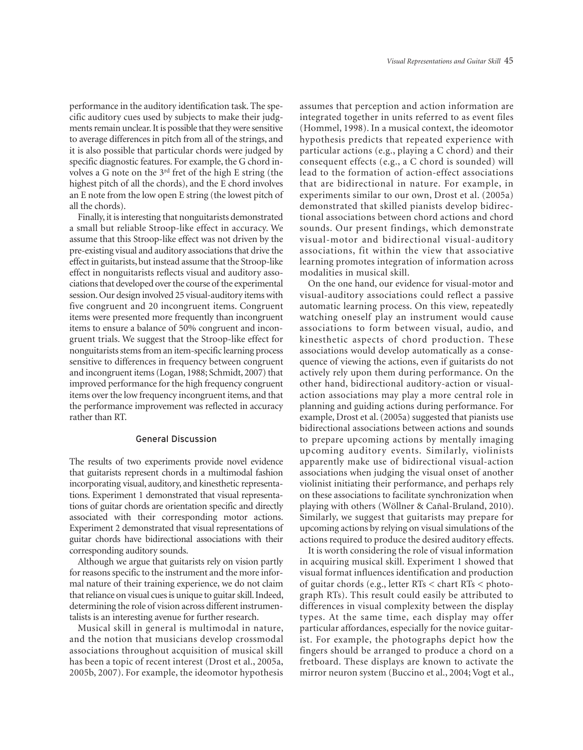performance in the auditory identification task. The specific auditory cues used by subjects to make their judgments remain unclear. It is possible that they were sensitive to average differences in pitch from all of the strings, and it is also possible that particular chords were judged by specific diagnostic features. For example, the G chord involves a G note on the  $3<sup>rd</sup>$  fret of the high E string (the highest pitch of all the chords), and the E chord involves an E note from the low open E string (the lowest pitch of all the chords).

Finally, it is interesting that nonguitarists demonstrated a small but reliable Stroop-like effect in accuracy. We assume that this Stroop-like effect was not driven by the pre-existing visual and auditory associations that drive the effect in guitarists, but instead assume that the Stroop-like effect in nonguitarists reflects visual and auditory associations that developed over the course of the experimental session. Our design involved 25 visual-auditory items with five congruent and 20 incongruent items. Congruent items were presented more frequently than incongruent items to ensure a balance of 50% congruent and incongruent trials. We suggest that the Stroop-like effect for nonguitarists stems from an item-specific learning process sensitive to differences in frequency between congruent and incongruent items (Logan, 1988; Schmidt, 2007) that improved performance for the high frequency congruent items over the low frequency incongruent items, and that the performance improvement was reflected in accuracy rather than RT.

### General Discussion

The results of two experiments provide novel evidence that guitarists represent chords in a multimodal fashion incorporating visual, auditory, and kinesthetic representations. Experiment 1 demonstrated that visual representations of guitar chords are orientation specific and directly associated with their corresponding motor actions. Experiment 2 demonstrated that visual representations of guitar chords have bidirectional associations with their corresponding auditory sounds.

Although we argue that guitarists rely on vision partly for reasons specific to the instrument and the more informal nature of their training experience, we do not claim that reliance on visual cues is unique to guitar skill. Indeed, determining the role of vision across different instrumentalists is an interesting avenue for further research.

Musical skill in general is multimodal in nature, and the notion that musicians develop crossmodal associations throughout acquisition of musical skill has been a topic of recent interest (Drost et al., 2005a, 2005b, 2007). For example, the ideomotor hypothesis

assumes that perception and action information are integrated together in units referred to as event files (Hommel, 1998). In a musical context, the ideomotor hypothesis predicts that repeated experience with particular actions (e.g., playing a C chord) and their consequent effects (e.g., a C chord is sounded) will lead to the formation of action-effect associations that are bidirectional in nature. For example, in experiments similar to our own, Drost et al. (2005a) demonstrated that skilled pianists develop bidirectional associations between chord actions and chord sounds. Our present findings, which demonstrate visual-motor and bidirectional visual-auditory associations, fit within the view that associative learning promotes integration of information across modalities in musical skill.

On the one hand, our evidence for visual-motor and visual-auditory associations could reflect a passive automatic learning process. On this view, repeatedly watching oneself play an instrument would cause associations to form between visual, audio, and kinesthetic aspects of chord production. These associations would develop automatically as a consequence of viewing the actions, even if guitarists do not actively rely upon them during performance. On the other hand, bidirectional auditory-action or visualaction associations may play a more central role in planning and guiding actions during performance. For example, Drost et al. (2005a) suggested that pianists use bidirectional associations between actions and sounds to prepare upcoming actions by mentally imaging upcoming auditory events. Similarly, violinists apparently make use of bidirectional visual-action associations when judging the visual onset of another violinist initiating their performance, and perhaps rely on these associations to facilitate synchronization when playing with others (Wöllner & Cañal-Bruland, 2010). Similarly, we suggest that guitarists may prepare for upcoming actions by relying on visual simulations of the actions required to produce the desired auditory effects.

It is worth considering the role of visual information in acquiring musical skill. Experiment 1 showed that visual format influences identification and production of guitar chords (e.g., letter RTs < chart RTs < photograph RTs). This result could easily be attributed to differences in visual complexity between the display types. At the same time, each display may offer particular affordances, especially for the novice guitarist. For example, the photographs depict how the fingers should be arranged to produce a chord on a fretboard. These displays are known to activate the mirror neuron system (Buccino et al., 2004; Vogt et al.,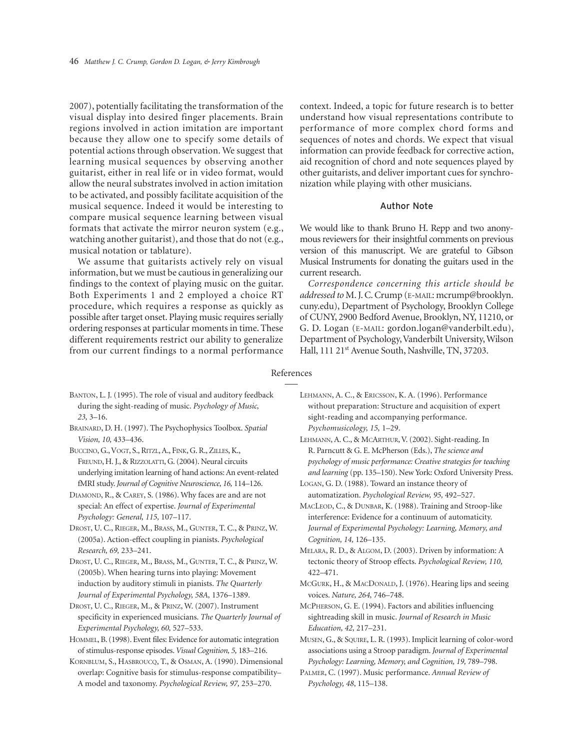2007), potentially facilitating the transformation of the visual display into desired finger placements. Brain regions involved in action imitation are important because they allow one to specify some details of potential actions through observation. We suggest that learning musical sequences by observing another guitarist, either in real life or in video format, would allow the neural substrates involved in action imitation to be activated, and possibly facilitate acquisition of the musical sequence. Indeed it would be interesting to compare musical sequence learning between visual formats that activate the mirror neuron system (e.g., watching another guitarist), and those that do not (e.g., musical notation or tablature).

We assume that guitarists actively rely on visual information, but we must be cautious in generalizing our findings to the context of playing music on the guitar. Both Experiments 1 and 2 employed a choice RT procedure, which requires a response as quickly as possible after target onset. Playing music requires serially ordering responses at particular moments in time. These different requirements restrict our ability to generalize from our current findings to a normal performance

context. Indeed, a topic for future research is to better understand how visual representations contribute to performance of more complex chord forms and sequences of notes and chords. We expect that visual information can provide feedback for corrective action, aid recognition of chord and note sequences played by other guitarists, and deliver important cues for synchronization while playing with other musicians.

## Author Note

We would like to thank Bruno H. Repp and two anonymous reviewers for their insightful comments on previous version of this manuscript. We are grateful to Gibson Musical Instruments for donating the guitars used in the current research.

*Correspondence concerning this article should be addressed to* M. J. C. Crump (e-mail: [mcrump@brooklyn.](mailto:mcrump@brooklyn.cuny.edu) [cuny.edu\)](mailto:mcrump@brooklyn.cuny.edu), Department of Psychology, Brooklyn College of CUNY, 2900 Bedford Avenue, Brooklyn, NY, 11210, or G. D. Logan (e-mail: [gordon.logan@vanderbilt.edu\)](mailto:gordon.logan@vanderbilt.edu), Department of Psychology, Vanderbilt University, Wilson Hall, 111 21st Avenue South, Nashville, TN, 37203.

# References

- BANTON, L. J. (1995). The role of visual and auditory feedback during the sight-reading of music. *Psychology of Music, 23,* 3–16.
- Brainard, D. H. (1997). The Psychophysics Toolbox. *Spatial Vision, 10,* 433–436.
- Buccino, G., Vogt, S., Ritzl, A., Fink, G. R., Zilles, K., FREUND, H. J., & RIZZOLATTI, G. (2004). Neural circuits underlying imitation learning of hand actions: An event-related fMRI study. *Journal of Cognitive Neuroscience, 16,* 114–126.
- DIAMOND, R., & CAREY, S. (1986). Why faces are and are not special: An effect of expertise. *Journal of Experimental Psychology: General, 115,* 107–117.
- Drost, U. C., Rieger, M., Brass, M., Gunter, T. C., & Prinz, W. (2005a). Action-effect coupling in pianists. *Psychological Research, 69,* 233–241.
- Drost, U. C., Rieger, M., Brass, M., Gunter, T. C., & Prinz, W. (2005b). When hearing turns into playing: Movement induction by auditory stimuli in pianists. *The Quarterly Journal of Experimental Psychology, 58A,* 1376–1389.
- Drost, U. C., Rieger, M., & Prinz, W. (2007). Instrument specificity in experienced musicians. *The Quarterly Journal of Experimental Psychology, 60,* 527–533.
- Hommel, B. (1998). Event files: Evidence for automatic integration of stimulus-response episodes. *Visual Cognition, 5,* 183–216.
- Kornblum, S., Hasbroucq, T., & Osman, A. (1990). Dimensional overlap: Cognitive basis for stimulus-response compatibility– A model and taxonomy. *Psychological Review, 97,* 253–270.
- Lehmann, A. C., & Ericsson, K. A. (1996). Performance without preparation: Structure and acquisition of expert sight-reading and accompanying performance. *Psychomusicology, 15,* 1–29.
- Lehmann, A. C., & McArthur, V. (2002). Sight-reading. In R. Parncutt & G. E. McPherson (Eds.), *The science and psychology of music performance: Creative strategies for teaching and learning* (pp. 135–150). New York: Oxford University Press.

Logan, G. D. (1988). Toward an instance theory of automatization. *Psychological Review, 95,* 492–527.

- MacLeod, C., & Dunbar, K. (1988). Training and Stroop-like interference: Evidence for a continuum of automaticity. *Journal of Experimental Psychology: Learning, Memory, and Cognition, 14,* 126–135.
- Melara, R. D., & Algom, D. (2003). Driven by information: A tectonic theory of Stroop effects. *Psychological Review, 110,*  422–471.
- McGurk, H., & MacDonald, J. (1976). Hearing lips and seeing voices. *Nature, 264,* 746–748.
- McPherson, G. E. (1994). Factors and abilities influencing sightreading skill in music. *Journal of Research in Music Education, 42,* 217–231.
- Musen, G., & Squire, L. R. (1993). Implicit learning of color-word associations using a Stroop paradigm. *Journal of Experimental*  Psychology: Learning, Memory, and Cognition, 19, 789-798.
- Palmer, C. (1997). Music performance. *Annual Review of Psychology, 48*, 115–138.